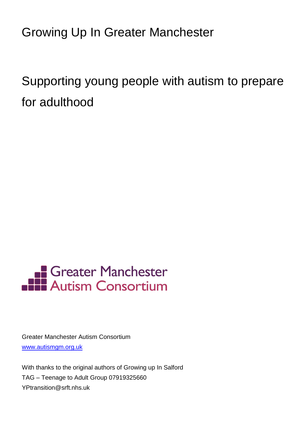Growing Up In Greater Manchester

Supporting young people with autism to prepare for adulthood



Greater Manchester Autism Consortium [www.autismgm.org.uk](http://www.autismgm.org.uk/)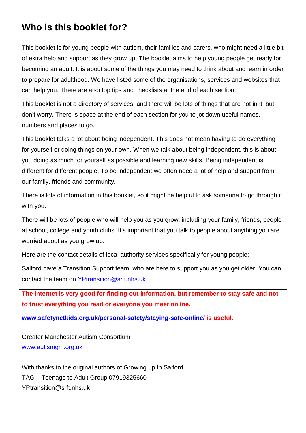# **Who is this booklet for?**

This booklet is for young people with autism, their families and carers, who might need a little bit of extra help and support as they grow up. The booklet aims to help young people get ready for becoming an adult. It is about some of the things you may need to think about and learn in order to prepare for adulthood. We have listed some of the organisations, services and websites that can help you. There are also top tips and checklists at the end of each section.

This booklet is not a directory of services, and there will be lots of things that are not in it, but don't worry. There is space at the end of each section for you to jot down useful names, numbers and places to go.

This booklet talks a lot about being independent. This does not mean having to do everything for yourself or doing things on your own. When we talk about being independent, this is about you doing as much for yourself as possible and learning new skills. Being independent is different for different people. To be independent we often need a lot of help and support from our family, friends and community.

There is lots of information in this booklet, so it might be helpful to ask someone to go through it with you.

There will be lots of people who will help you as you grow, including your family, friends, people at school, college and youth clubs. It's important that you talk to people about anything you are worried about as you grow up.

Here are the contact details of local authority services specifically for young people:

Salford have a Transition Support team, who are here to support you as you get older. You can contact the team on [YPtransition@srft.nhs.uk](mailto:YPtransition@srft.nhs.uk)

**The internet is very good for finding out information, but remember to stay safe and not to trust everything you read or everyone you meet online.**

**[www.safetynetkids.org.uk/personal-safety/staying-safe-online/](http://www.safetynetkids.org.uk/personal-safety/staying-safe-online/) is useful.**

Greater Manchester Autism Consortium [www.autismgm.org.uk](http://www.autismgm.org.uk/)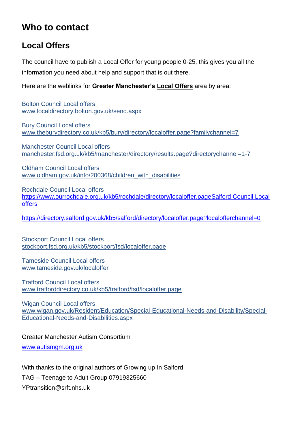# **Who to contact**

# **Local Offers**

The council have to publish a Local Offer for young people 0-25, this gives you all the information you need about help and support that is out there.

Here are the weblinks for **Greater Manchester's Local Offers** area by area:

Bolton Council Local offers [www.localdirectory.bolton.gov.uk/send.aspx](http://www.localdirectory.bolton.gov.uk/send.aspx)

Bury Council Local offers [www.theburydirectory.co.uk/kb5/bury/directory/localoffer.page?familychannel=7](http://www.theburydirectory.co.uk/kb5/bury/directory/localoffer.page?familychannel=7)

Manchester Council Local offers [manchester.fsd.org.uk/kb5/manchester/directory/results.page?directorychannel=1-7](http://manchester.fsd.org.uk/kb5/manchester/directory/results.page?directorychannel=1-7)

Oldham Council Local offers [www.oldham.gov.uk/info/200368/children\\_with\\_disabilities](http://www.oldham.gov.uk/info/200368/children_with_disabilities)

Rochdale Council Local offers [https://www.ourrochdale.org.uk/kb5/rochdale/directory/localoffer.pageSalford Council Local](https://www.ourrochdale.org.uk/kb5/rochdale/directory/localoffer.pageSalford%20Council%20Local%20offers)  [offers](https://www.ourrochdale.org.uk/kb5/rochdale/directory/localoffer.pageSalford%20Council%20Local%20offers)

<https://directory.salford.gov.uk/kb5/salford/directory/localoffer.page?localofferchannel=0>

Stockport Council Local offers [stockport.fsd.org.uk/kb5/stockport/fsd/localoffer.page](http://stockport.fsd.org.uk/kb5/stockport/fsd/localoffer.page)

Tameside Council Local offers [www.tameside.gov.uk/localoffer](http://www.tameside.gov.uk/localoffer)

Trafford Council Local offers [www.trafforddirectory.co.uk/kb5/trafford/fsd/localoffer.page](http://www.trafforddirectory.co.uk/kb5/trafford/fsd/localoffer.page)

Wigan Council Local offers [www.wigan.gov.uk/Resident/Education/Special-Educational-Needs-and-Disability/Special-](http://www.wigan.gov.uk/Resident/Education/Special-Educational-Needs-and-Disability/Special-Educational-Needs-and-Disabilities.aspx)[Educational-Needs-and-Disabilities.aspx](http://www.wigan.gov.uk/Resident/Education/Special-Educational-Needs-and-Disability/Special-Educational-Needs-and-Disabilities.aspx)

Greater Manchester Autism Consortium

[www.autismgm.org.uk](http://www.autismgm.org.uk/)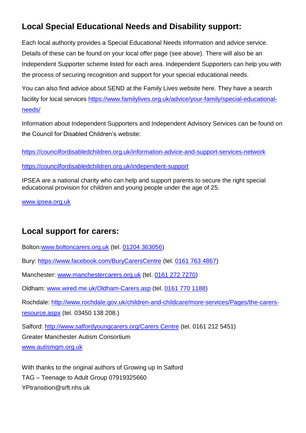# **Local Special Educational Needs and Disability support:**

Each local authority provides a Special Educational Needs information and advice service. Details of these can be found on your local offer page (see above). There will also be an Independent Supporter scheme listed for each area. Independent Supporters can help you with the process of securing recognition and support for your special educational needs.

You can also find advice about SEND at the Family Lives website here. They have a search facility for local services [https://www.familylives.org.uk/advice/your-family/special-educational](https://www.familylives.org.uk/advice/your-family/special-educational-needs/)[needs/](https://www.familylives.org.uk/advice/your-family/special-educational-needs/)

Information about Independent Supporters and Independent Advisory Services can be found on the Council for Disabled Children's website:

<https://councilfordisabledchildren.org.uk/information-advice-and-support-services-network> <https://councilfordisabledchildren.org.uk/independent-support>

IPSEA are a national charity who can help and support parents to secure the right special educational provision for children and young people under the age of 25.

[www.ipsea.org.uk](http://www.ipsea.org.uk/) 

## **Local support for carers:**

Bolton[:www.boltoncarers.org.uk](http://www.boltoncarers.org.uk/) (tel. [01204 363056\)](javascript:void(0))

Bury:<https://www.facebook.com/BuryCarersCentre> (tel. [0161 763 4867\)](javascript:void(0))

Manchester: [www.manchestercarers.org.uk](http://www.manchestercarers.org.uk/) (tel. [0161 272 7270\)](javascript:void(0))

Oldham: [www.wired.me.uk/Oldham-Carers.asp](http://www.wired.me.uk/Oldham-Carers.asp) (tel. [0161 770 1188\)](javascript:void(0))

Rochdale: [http://www.rochdale.gov.uk/children-and-childcare/more-services/Pages/the-carers-](http://www.rochdale.gov.uk/children-and-childcare/more-services/Pages/the-carers-resource.aspx)

[resource.aspx](http://www.rochdale.gov.uk/children-and-childcare/more-services/Pages/the-carers-resource.aspx) (tel. 03450 138 208.)

Salford: [http://www.salfordyoungcarers.org/Carers Centre](http://www.salfordyoungcarers.org/Carers%20Centre) (tel. 0161 212 5451)

Greater Manchester Autism Consortium

[www.autismgm.org.uk](http://www.autismgm.org.uk/)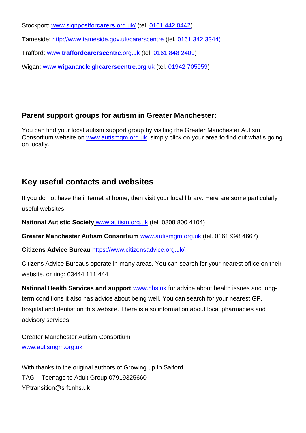Stockport: [www.signpostfor](http://www.signpostforcarers.org.uk/)**carers**.org.uk/ (tel. [0161 442 0442\)](javascript:void(0))

Tameside:<http://www.tameside.gov.uk/carerscentre> (tel. 0161 342 3344)

Trafford: www.**[traffordcarerscentre](http://www.traffordcarerscentre.org.uk/)**.org.uk (tel. [0161 848 2400\)](javascript:void(0))

Wigan: www.**wigan**andleigh**[carerscentre](http://www.wiganandleighcarerscentre.org.uk/)**.org.uk (tel. [01942 705959\)](javascript:void(0))

### **Parent support groups for autism in Greater Manchester:**

You can find your local autism support group by visiting the Greater Manchester Autism Consortium website on [www.autismgm.org.uk](http://www.autismgm.org.uk/) simply click on your area to find out what's going on locally.

## **Key useful contacts and websites**

If you do not have the internet at home, then visit your local library. Here are some particularly useful websites.

**National Autistic Society** [www.autism.org.uk](http://www.autism.org.uk/) (tel. 0808 800 4104)

**Greater Manchester Autism Consortium** [www.autismgm.org.uk](http://www.autismgm.org.uk/) (tel. 0161 998 4667)

**Citizens Advice Bureau** <https://www.citizensadvice.org.uk/>

Citizens Advice Bureaus operate in many areas. You can search for your nearest office on their website, or ring: 03444 111 444

**National Health Services and support** [www.nhs.uk](http://www.nhs.uk/) for advice about health issues and longterm conditions it also has advice about being well. You can search for your nearest GP, hospital and dentist on this website. There is also information about local pharmacies and advisory services.

Greater Manchester Autism Consortium [www.autismgm.org.uk](http://www.autismgm.org.uk/)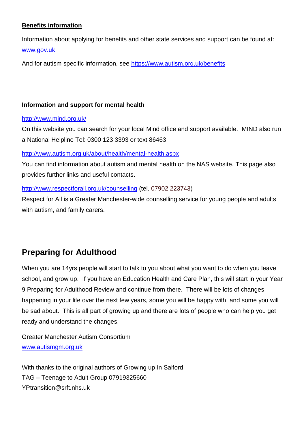### **Benefits information**

Information about applying for benefits and other state services and support can be found at: [www.gov.uk](http://www.gov.uk/)

And for autism specific information, see<https://www.autism.org.uk/benefits>

#### **Information and support for mental health**

#### <http://www.mind.org.uk/>

On this website you can search for your local Mind office and support available. MIND also run a National Helpline Tel: 0300 123 3393 or text 86463

<http://www.autism.org.uk/about/health/mental-health.aspx>

You can find information about autism and mental health on the NAS website. This page also provides further links and useful contacts.

### <http://www.respectforall.org.uk/counselling> (tel. 07902 223743)

Respect for All is a Greater Manchester-wide counselling service for young people and adults with autism, and family carers.

# **Preparing for Adulthood**

When you are 14yrs people will start to talk to you about what you want to do when you leave school, and grow up. If you have an Education Health and Care Plan, this will start in your Year 9 Preparing for Adulthood Review and continue from there. There will be lots of changes happening in your life over the next few years, some you will be happy with, and some you will be sad about. This is all part of growing up and there are lots of people who can help you get ready and understand the changes.

Greater Manchester Autism Consortium [www.autismgm.org.uk](http://www.autismgm.org.uk/)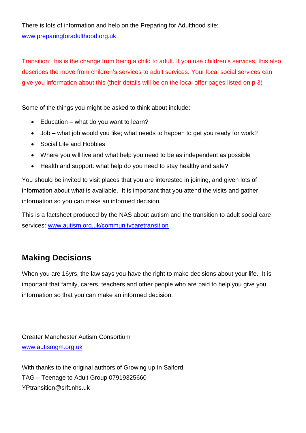There is lots of information and help on the Preparing for Adulthood site: [www.preparingforadulthood.org.uk](http://www.preparingforadulthood.org.uk/)

Transition: this is the change from being a child to adult. If you use children's services, this also describes the move from children's services to adult services. Your local social services can give you information about this (their details will be on the local offer pages listed on p 3)

Some of the things you might be asked to think about include:

- Education what do you want to learn?
- Job what job would you like; what needs to happen to get you ready for work?
- Social Life and Hobbies
- Where you will live and what help you need to be as independent as possible
- Health and support: what help do you need to stay healthy and safe?

You should be invited to visit places that you are interested in joining, and given lots of information about what is available. It is important that you attend the visits and gather information so you can make an informed decision.

This is a factsheet produced by the NAS about autism and the transition to adult social care services: [www.autism.org.uk/communitycaretransition](http://www.autism.org.uk/communitycaretransition)

# **Making Decisions**

When you are 16yrs, the law says you have the right to make decisions about your life. It is important that family, carers, teachers and other people who are paid to help you give you information so that you can make an informed decision.

Greater Manchester Autism Consortium [www.autismgm.org.uk](http://www.autismgm.org.uk/)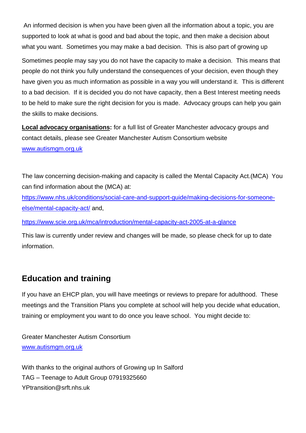An informed decision is when you have been given all the information about a topic, you are supported to look at what is good and bad about the topic, and then make a decision about what you want. Sometimes you may make a bad decision. This is also part of growing up

Sometimes people may say you do not have the capacity to make a decision. This means that people do not think you fully understand the consequences of your decision, even though they have given you as much information as possible in a way you will understand it. This is different to a bad decision. If it is decided you do not have capacity, then a Best Interest meeting needs to be held to make sure the right decision for you is made. Advocacy groups can help you gain the skills to make decisions.

**Local advocacy organisations:** for a full list of Greater Manchester advocacy groups and contact details, please see Greater Manchester Autism Consortium website [www.autismgm.org.uk](http://www.autismgm.org.uk/)

The law concerning decision-making and capacity is called the Mental Capacity Act.(MCA) You can find information about the (MCA) at:

[https://www.nhs.uk/conditions/social-care-and-support-guide/making-decisions-for-someone](https://www.nhs.uk/conditions/social-care-and-support-guide/making-decisions-for-someone-else/mental-capacity-act/)[else/mental-capacity-act/](https://www.nhs.uk/conditions/social-care-and-support-guide/making-decisions-for-someone-else/mental-capacity-act/) and,

<https://www.scie.org.uk/mca/introduction/mental-capacity-act-2005-at-a-glance>

This law is currently under review and changes will be made, so please check for up to date information.

## **Education and training**

If you have an EHCP plan, you will have meetings or reviews to prepare for adulthood. These meetings and the Transition Plans you complete at school will help you decide what education, training or employment you want to do once you leave school. You might decide to:

Greater Manchester Autism Consortium [www.autismgm.org.uk](http://www.autismgm.org.uk/)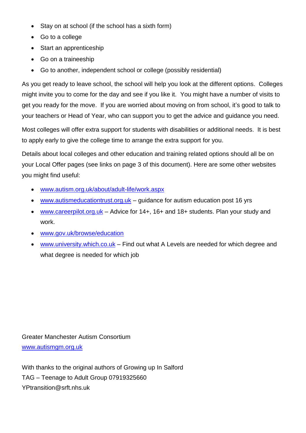- Stay on at school (if the school has a sixth form)
- Go to a college
- Start an apprenticeship
- Go on a traineeship
- Go to another, independent school or college (possibly residential)

As you get ready to leave school, the school will help you look at the different options. Colleges might invite you to come for the day and see if you like it. You might have a number of visits to get you ready for the move. If you are worried about moving on from school, it's good to talk to your teachers or Head of Year, who can support you to get the advice and guidance you need.

Most colleges will offer extra support for students with disabilities or additional needs. It is best to apply early to give the college time to arrange the extra support for you.

Details about local colleges and other education and training related options should all be on your Local Offer pages (see links on page 3 of this document). Here are some other websites you might find useful:

- [www.autism.org.uk/about/adult-life/work.aspx](http://www.autism.org.uk/about/adult-life/work.aspx)
- [www.autismeducationtrust.org.uk](http://www.autismeducationtrust.org.uk/) guidance for autism education post 16 yrs
- [www.careerpilot.org.uk](http://www.careerpilot.org.uk/) Advice for 14+, 16+ and 18+ students. Plan your study and work.
- [www.gov.uk/browse/education](http://www.gov.uk/browse/education)
- [www.university.which.co.uk](http://www.university.which.co.uk/) Find out what A Levels are needed for which degree and what degree is needed for which job

Greater Manchester Autism Consortium [www.autismgm.org.uk](http://www.autismgm.org.uk/)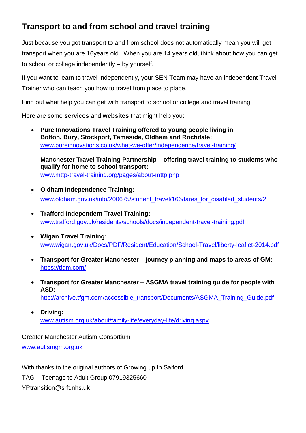# **Transport to and from school and travel training**

Just because you got transport to and from school does not automatically mean you will get transport when you are 16years old. When you are 14 years old, think about how you can get to school or college independently – by yourself.

If you want to learn to travel independently, your SEN Team may have an independent Travel Trainer who can teach you how to travel from place to place.

Find out what help you can get with transport to school or college and travel training.

Here are some **services** and **websites** that might help you:

 **Pure Innovations Travel Training offered to young people living in Bolton, Bury, Stockport, Tameside, Oldham and Rochdale:** [www.pureinnovations.co.uk/what-we-offer/independence/travel-training/](http://www.pureinnovations.co.uk/what-we-offer/independence/travel-training/)

**Manchester Travel Training Partnership – offering travel training to students who qualify for home to school transport:**  [www.mttp-travel-training.org/pages/about-mttp.php](http://www.mttp-travel-training.org/pages/about-mttp.php)

- **Oldham Independence Training:** ٠ [www.oldham.gov.uk/info/200675/student\\_travel/166/fares\\_for\\_disabled\\_students/2](http://www.oldham.gov.uk/info/200675/student_travel/166/fares_for_disabled_students/2)
- **Trafford Independent Travel Training:**  [www.trafford.gov.uk/residents/schools/docs/independent-travel-training.pdf](http://www.trafford.gov.uk/residents/schools/docs/independent-travel-training.pdf)
- **Wigan Travel Training:** [www.wigan.gov.uk/Docs/PDF/Resident/Education/School-Travel/liberty-leaflet-2014.pdf](http://www.wigan.gov.uk/Docs/PDF/Resident/Education/School-Travel/liberty-leaflet-2014.pdf)
- **Transport for Greater Manchester – journey planning and maps to areas of GM:** https://tfam.com/
- **Transport for Greater Manchester – ASGMA travel training guide for people with ASD:** [http://archive.tfgm.com/accessible\\_transport/Documents/ASGMA\\_Training\\_Guide.pdf](http://archive.tfgm.com/accessible_transport/Documents/ASGMA_Training_Guide.pdf)
- **Driving:** [www.autism.org.uk/about/family-life/everyday-life/driving.aspx](http://www.autism.org.uk/about/family-life/everyday-life/driving.aspx)

Greater Manchester Autism Consortium

[www.autismgm.org.uk](http://www.autismgm.org.uk/)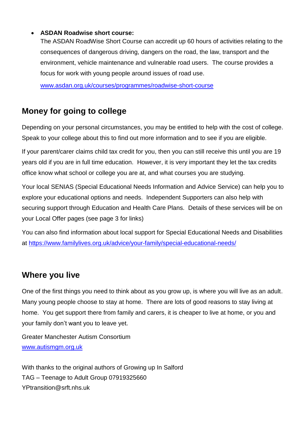### **ASDAN Roadwise short course:**

The ASDAN RoadWise Short Course can accredit up 60 hours of activities relating to the consequences of dangerous driving, dangers on the road, the law, transport and the environment, vehicle maintenance and vulnerable road users. The course provides a focus for work with young people around issues of road use.

[www.asdan.org.uk/courses/programmes/roadwise-short-course](http://www.asdan.org.uk/courses/programmes/roadwise-short-course)

## **Money for going to college**

Depending on your personal circumstances, you may be entitled to help with the cost of college. Speak to your college about this to find out more information and to see if you are eligible.

If your parent/carer claims child tax credit for you, then you can still receive this until you are 19 years old if you are in full time education. However, it is very important they let the tax credits office know what school or college you are at, and what courses you are studying.

Your local SENIAS (Special Educational Needs Information and Advice Service) can help you to explore your educational options and needs. Independent Supporters can also help with securing support through Education and Health Care Plans. Details of these services will be on your Local Offer pages (see page 3 for links)

You can also find information about local support for Special Educational Needs and Disabilities at <https://www.familylives.org.uk/advice/your-family/special-educational-needs/>

## **Where you live**

One of the first things you need to think about as you grow up, is where you will live as an adult. Many young people choose to stay at home. There are lots of good reasons to stay living at home. You get support there from family and carers, it is cheaper to live at home, or you and your family don't want you to leave yet.

Greater Manchester Autism Consortium [www.autismgm.org.uk](http://www.autismgm.org.uk/)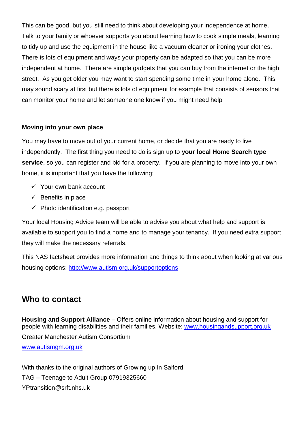This can be good, but you still need to think about developing your independence at home. Talk to your family or whoever supports you about learning how to cook simple meals, learning to tidy up and use the equipment in the house like a vacuum cleaner or ironing your clothes. There is lots of equipment and ways your property can be adapted so that you can be more independent at home. There are simple gadgets that you can buy from the internet or the high street. As you get older you may want to start spending some time in your home alone. This may sound scary at first but there is lots of equipment for example that consists of sensors that can monitor your home and let someone one know if you might need help

### **Moving into your own place**

You may have to move out of your current home, or decide that you are ready to live independently. The first thing you need to do is sign up to **your local Home Search type service**, so you can register and bid for a property. If you are planning to move into your own home, it is important that you have the following:

- $\checkmark$  Your own bank account
- $\checkmark$  Benefits in place
- $\checkmark$  Photo identification e.g. passport

Your local Housing Advice team will be able to advise you about what help and support is available to support you to find a home and to manage your tenancy. If you need extra support they will make the necessary referrals.

This NAS factsheet provides more information and things to think about when looking at various housing options: <http://www.autism.org.uk/supportoptions>

## **Who to contact**

Greater Manchester Autism Consortium [www.autismgm.org.uk](http://www.autismgm.org.uk/) **Housing and Support Alliance** – Offers online information about housing and support for people with learning disabilities and their families. Website: www.housingandsupport.org.uk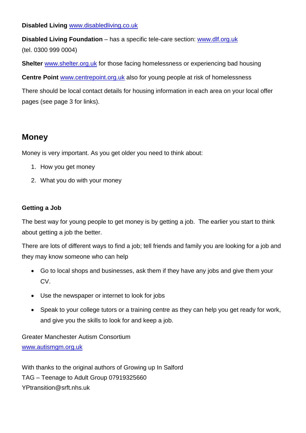**Disabled Living** [www.disabledliving.co.uk](http://www.disabledliving.co.uk/)

**Disabled Living Foundation** – has a specific tele-care section: [www.dlf.org.uk](http://www.dlf.org.uk/) (tel. 0300 999 0004)

**Shelter** [www.shelter.org.uk](http://www.shelter.org.uk/) for those facing homelessness or experiencing bad housing

**Centre Point** [www.centrepoint.org.uk](http://www.centrepoint.org.uk/) also for young people at risk of homelessness

There should be local contact details for housing information in each area on your local offer pages (see page 3 for links).

# **Money**

Money is very important. As you get older you need to think about:

- 1. How you get money
- 2. What you do with your money

### **Getting a Job**

The best way for young people to get money is by getting a job. The earlier you start to think about getting a job the better.

There are lots of different ways to find a job; tell friends and family you are looking for a job and they may know someone who can help

- Go to local shops and businesses, ask them if they have any jobs and give them your CV.
- Use the newspaper or internet to look for jobs
- Speak to your college tutors or a training centre as they can help you get ready for work, and give you the skills to look for and keep a job.

Greater Manchester Autism Consortium [www.autismgm.org.uk](http://www.autismgm.org.uk/)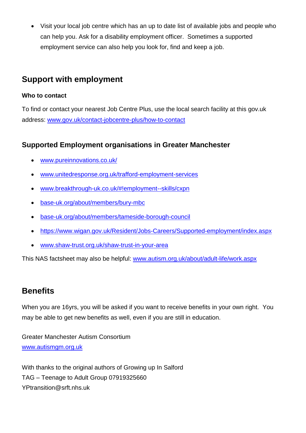Visit your local job centre which has an up to date list of available jobs and people who can help you. Ask for a disability employment officer. Sometimes a supported employment service can also help you look for, find and keep a job.

## **Support with employment**

### **Who to contact**

To find or contact your nearest Job Centre Plus, use the local search facility at this gov.uk address: [www.gov.uk/contact-jobcentre-plus/how-to-contact](http://www.gov.uk/contact-jobcentre-plus/how-to-contact)

## **Supported Employment organisations in Greater Manchester**

- [www.pureinnovations.co.uk/](http://www.pureinnovations.co.uk/)
- [www.unitedresponse.org.uk/trafford-employment-services](http://www.unitedresponse.org.uk/trafford-employment-services)
- [www.breakthrough-uk.co.uk/#!employment--skills/cxpn](http://www.breakthrough-uk.co.uk/#!employment--skills/cxpn)
- [base-uk.org/about/members/bury-mbc](http://base-uk.org/about/members/bury-mbc)
- [base-uk.org/about/members/tameside-borough-council](http://base-uk.org/about/members/tameside-borough-council)
- <https://www.wigan.gov.uk/Resident/Jobs-Careers/Supported-employment/index.aspx>
- [www.shaw-trust.org.uk/shaw-trust-in-your-area](http://www.shaw-trust.org.uk/shaw-trust-in-your-area)

This NAS factsheet may also be helpful: [www.autism.org.uk/about/adult-life/work.aspx](http://www.autism.org.uk/about/adult-life/work.aspx)

## **Benefits**

When you are 16yrs, you will be asked if you want to receive benefits in your own right. You may be able to get new benefits as well, even if you are still in education.

Greater Manchester Autism Consortium [www.autismgm.org.uk](http://www.autismgm.org.uk/)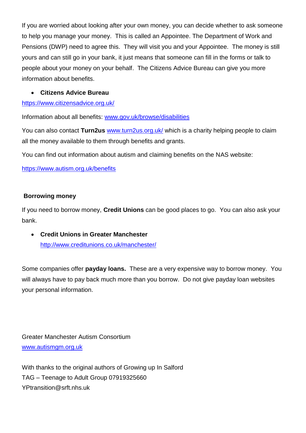If you are worried about looking after your own money, you can decide whether to ask someone to help you manage your money. This is called an Appointee. The Department of Work and Pensions (DWP) need to agree this. They will visit you and your Appointee. The money is still yours and can still go in your bank, it just means that someone can fill in the forms or talk to people about your money on your behalf. The Citizens Advice Bureau can give you more information about benefits.

### **Citizens Advice Bureau**

### <https://www.citizensadvice.org.uk/>

Information about all benefits: [www.gov.uk/browse/disabilities](http://www.gov.uk/browse/disabilities)

You can also contact **Turn2us** [www.turn2us.org.uk/](http://www.turn2us.org.uk/) which is a charity helping people to claim all the money available to them through benefits and grants.

You can find out information about autism and claiming benefits on the NAS website:

<https://www.autism.org.uk/benefits>

### **Borrowing money**

If you need to borrow money, **Credit Unions** can be good places to go. You can also ask your bank.

 **Credit Unions in Greater Manchester** <http://www.creditunions.co.uk/manchester/>

Some companies offer **payday loans.** These are a very expensive way to borrow money. You will always have to pay back much more than you borrow. Do not give payday loan websites your personal information.

Greater Manchester Autism Consortium [www.autismgm.org.uk](http://www.autismgm.org.uk/)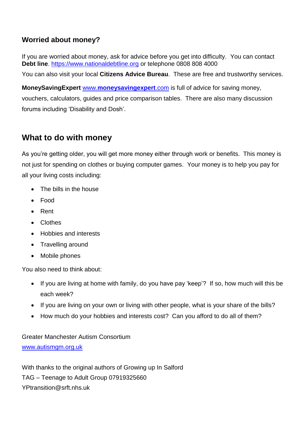## **Worried about money?**

If you are worried about money, ask for advice before you get into difficulty. You can contact **Debt line**. [https://www.nationaldebtline.org](https://www.nationaldebtline.org/) or telephone 0808 808 4000

You can also visit your local **Citizens Advice Bureau**. These are free and trustworthy services.

**MoneySavingExpert** www.**[moneysavingexpert](http://www.moneysavingexpert.com/)**.com is full of advice for saving money, vouchers, calculators, guides and price comparison tables. There are also many discussion forums including 'Disability and Dosh'.

## **What to do with money**

As you're getting older, you will get more money either through work or benefits. This money is not just for spending on clothes or buying computer games. Your money is to help you pay for all your living costs including:

- The bills in the house
- Food
- Rent
- Clothes
- Hobbies and interests
- Travelling around
- Mobile phones

You also need to think about:

- If you are living at home with family, do you have pay 'keep'? If so, how much will this be each week?
- If you are living on your own or living with other people, what is your share of the bills?
- How much do your hobbies and interests cost? Can you afford to do all of them?

Greater Manchester Autism Consortium [www.autismgm.org.uk](http://www.autismgm.org.uk/)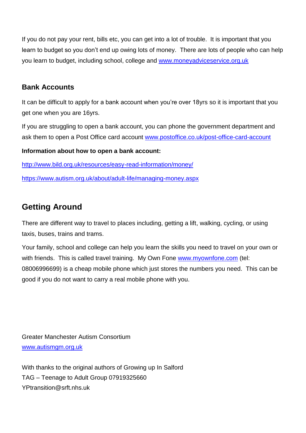If you do not pay your rent, bills etc, you can get into a lot of trouble. It is important that you learn to budget so you don't end up owing lots of money. There are lots of people who can help you learn to budget, including school, college and [www.moneyadviceservice.org.uk](http://www.moneyadviceservice.org.uk/)

### **Bank Accounts**

It can be difficult to apply for a bank account when you're over 18yrs so it is important that you get one when you are 16yrs.

If you are struggling to open a bank account, you can phone the government department and ask them to open a Post Office card account [www.postoffice.co.uk/post-office-card-account](http://www.postoffice.co.uk/post-office-card-account)

### **Information about how to open a bank account:**

http://www.bild.org.uk/resources/easy-read-information/money/

<https://www.autism.org.uk/about/adult-life/managing-money.aspx>

# **Getting Around**

There are different way to travel to places including, getting a lift, walking, cycling, or using taxis, buses, trains and trams.

Your family, school and college can help you learn the skills you need to travel on your own or with friends. This is called travel training. My Own Fone [www.myownfone.com](http://www.myownfone.com/) (tel: 08006996699) is a cheap mobile phone which just stores the numbers you need. This can be good if you do not want to carry a real mobile phone with you.

Greater Manchester Autism Consortium [www.autismgm.org.uk](http://www.autismgm.org.uk/)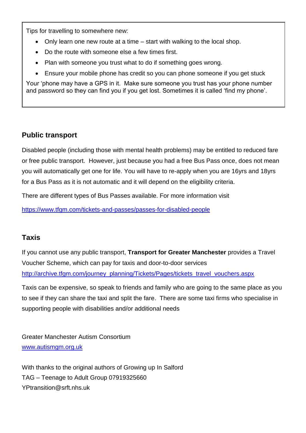Tips for travelling to somewhere new:

- Only learn one new route at a time start with walking to the local shop.
- Do the route with someone else a few times first.
- Plan with someone you trust what to do if something goes wrong.
- Ensure your mobile phone has credit so you can phone someone if you get stuck

Your 'phone may have a GPS in it. Make sure someone you trust has your phone number and password so they can find you if you get lost. Sometimes it is called 'find my phone'.

### **Public transport**

Disabled people (including those with mental health problems) may be entitled to reduced fare or free public transport. However, just because you had a free Bus Pass once, does not mean you will automatically get one for life. You will have to re-apply when you are 16yrs and 18yrs for a Bus Pass as it is not automatic and it will depend on the eligibility criteria.

There are different types of Bus Passes available. For more information visit

<https://www.tfgm.com/tickets-and-passes/passes-for-disabled-people>

### **Taxis**

If you cannot use any public transport, **Transport for Greater Manchester** provides a Travel Voucher Scheme, which can pay for taxis and door-to-door services [http://archive.tfgm.com/journey\\_planning/Tickets/Pages/tickets\\_travel\\_vouchers.aspx](http://archive.tfgm.com/journey_planning/Tickets/Pages/tickets_travel_vouchers.aspx)

Taxis can be expensive, so speak to friends and family who are going to the same place as you to see if they can share the taxi and split the fare. There are some taxi firms who specialise in supporting people with disabilities and/or additional needs

Greater Manchester Autism Consortium [www.autismgm.org.uk](http://www.autismgm.org.uk/)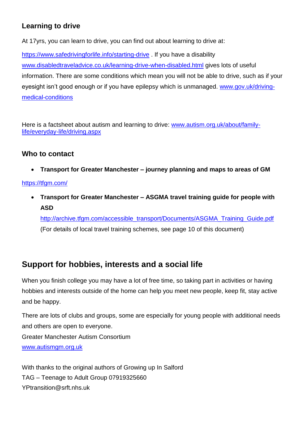## **Learning to drive**

At 17yrs, you can learn to drive, you can find out about learning to drive at:

<https://www.safedrivingforlife.info/starting-drive> . If you have a disability [www.disabledtraveladvice.co.uk/learning-drive-when-disabled.html](http://www.disabledtraveladvice.co.uk/learning-drive-when-disabled.html) gives lots of useful information. There are some conditions which mean you will not be able to drive, such as if your eyesight isn't good enough or if you have epilepsy which is unmanaged. [www.gov.uk/driving](http://www.gov.uk/driving-medical-conditions)[medical-conditions](http://www.gov.uk/driving-medical-conditions)

Here is a factsheet about autism and learning to drive: [www.autism.org.uk/about/family](http://www.autism.org.uk/about/family-life/everyday-life/driving.aspx)[life/everyday-life/driving.aspx](http://www.autism.org.uk/about/family-life/everyday-life/driving.aspx)

### **Who to contact**

**Transport for Greater Manchester – journey planning and maps to areas of GM**

### <https://tfgm.com/>

 **Transport for Greater Manchester – ASGMA travel training guide for people with ASD**

[http://archive.tfgm.com/accessible\\_transport/Documents/ASGMA\\_Training\\_Guide.pdf](http://archive.tfgm.com/accessible_transport/Documents/ASGMA_Training_Guide.pdf) (For details of local travel training schemes, see page 10 of this document)

# **Support for hobbies, interests and a social life**

When you finish college you may have a lot of free time, so taking part in activities or having hobbies and interests outside of the home can help you meet new people, keep fit, stay active and be happy.

Greater Manchester Autism Consortium [www.autismgm.org.uk](http://www.autismgm.org.uk/) There are lots of clubs and groups, some are especially for young people with additional needs and others are open to everyone.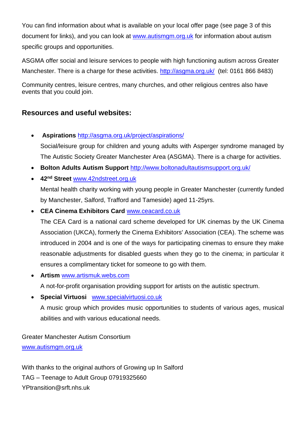You can find information about what is available on your local offer page (see page 3 of this document for links), and you can look at [www.autismgm.org.uk](http://www.autismgm.org.uk/) for information about autism specific groups and opportunities.

ASGMA offer social and leisure services to people with high functioning autism across Greater Manchester. There is a charge for these activities.<http://asgma.org.uk/> (tel: 0161 866 8483)

Community centres, leisure centres, many churches, and other religious centres also have events that you could join.

## **Resources and useful websites:**

- **Aspirations** <http://asgma.org.uk/project/aspirations/> Social/leisure group for children and young adults with Asperger syndrome managed by The Autistic Society Greater Manchester Area (ASGMA). There is a charge for activities.
- **Bolton Adults Autism Support** <http://www.boltonadultautismsupport.org.uk/>
- **42nd Street** [www.42ndstreet.org.uk](http://www.42ndstreet.org.uk/)

Mental health charity working with young people in Greater Manchester (currently funded by Manchester, Salford, Trafford and Tameside) aged 11-25yrs.

**CEA Cinema Exhibitors Card** [www.ceacard.co.uk](http://www.ceacard.co.uk/)

The CEA Card is a national card scheme developed for UK cinemas by the UK Cinema Association (UKCA), formerly the Cinema Exhibitors' Association (CEA). The scheme was introduced in 2004 and is one of the ways for participating cinemas to ensure they make reasonable adjustments for disabled guests when they go to the cinema; in particular it ensures a complimentary ticket for someone to go with them.

- **Artism** [www.artismuk.webs.com](http://www.artismuk.webs.com/) A not-for-profit organisation providing support for artists on the autistic spectrum.
- **Special Virtuosi** [www.specialvirtuosi.co.uk](http://www.specialvirtuosi.co.uk/) A music group which provides music opportunities to students of various ages, musical abilities and with various educational needs.

Greater Manchester Autism Consortium [www.autismgm.org.uk](http://www.autismgm.org.uk/)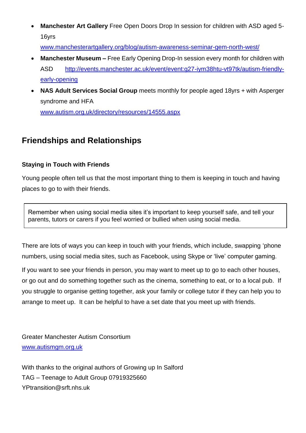**Manchester Art Gallery** Free Open Doors Drop In session for children with ASD aged 5- 16yrs

[www.manchesterartgallery.org/blog/autism-awareness-seminar-gem-north-west/](http://www.manchesterartgallery.org/blog/autism-awareness-seminar-gem-north-west/)

- **Manchester Museum –** Free Early Opening Drop-In session every month for children with ASD [http://events.manchester.ac.uk/event/event:g27-iym38htu-vt97tk/autism-friendly](http://events.manchester.ac.uk/event/event:g27-iym38htu-vt97tk/autism-friendly-early-opening)[early-opening](http://events.manchester.ac.uk/event/event:g27-iym38htu-vt97tk/autism-friendly-early-opening)
- **NAS Adult Services Social Group** meets monthly for people aged 18yrs + with Asperger syndrome and HFA

[www.autism.org.uk/directory/resources/14555.aspx](http://www.autism.org.uk/directory/resources/14555.aspx)

# **Friendships and Relationships**

### **Staying in Touch with Friends**

Young people often tell us that the most important thing to them is keeping in touch and having places to go to with their friends.

Remember when using social media sites it's important to keep yourself safe, and tell your parents, tutors or carers if you feel worried or bullied when using social media.

There are lots of ways you can keep in touch with your friends, which include, swapping 'phone numbers, using social media sites, such as Facebook, using Skype or 'live' computer gaming.

If you want to see your friends in person, you may want to meet up to go to each other houses, or go out and do something together such as the cinema, something to eat, or to a local pub. If you struggle to organise getting together, ask your family or college tutor if they can help you to arrange to meet up. It can be helpful to have a set date that you meet up with friends.

Greater Manchester Autism Consortium [www.autismgm.org.uk](http://www.autismgm.org.uk/)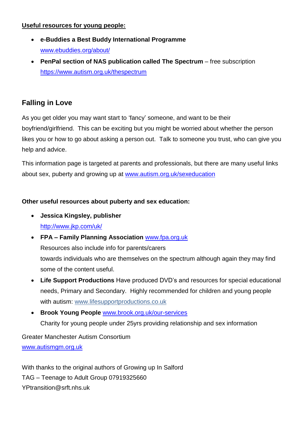### **Useful resources for young people:**

- **e-Buddies a Best Buddy International Programme**  [www.ebuddies.org/about/](http://www.ebuddies.org/about/)
- **PenPal section of NAS publication called The Spectrum** free subscription <https://www.autism.org.uk/thespectrum>

## **Falling in Love**

As you get older you may want start to 'fancy' someone, and want to be their boyfriend/girlfriend. This can be exciting but you might be worried about whether the person likes you or how to go about asking a person out. Talk to someone you trust, who can give you help and advice.

This information page is targeted at parents and professionals, but there are many useful links about sex, puberty and growing up at [www.autism.org.uk/sexeducation](http://www.autism.org.uk/sexeducation)

### **Other useful resources about puberty and sex education:**

- **Jessica Kingsley, publisher** [http://www.jkp.com/uk/](http://www.jkp.com/uk/exploring-friendships-puberty-and-relationships)
- **FPA – Family Planning Association** [www.fpa.org.uk](http://www.fpa.org.uk/) Resources also include info for parents/carers towards individuals who are themselves on the spectrum although again they may find some of the content useful.
- **Life Support Productions** Have produced DVD's and resources for special educational needs, Primary and Secondary. Highly recommended for children and young people with autism: [www.lifesupportproductions.co.uk](http://www.lifesupportproductions.co.uk/)
- **Brook Young People** [www.brook.org.uk/our-services](http://www.brook.org.uk/our-services) Charity for young people under 25yrs providing relationship and sex information

Greater Manchester Autism Consortium [www.autismgm.org.uk](http://www.autismgm.org.uk/)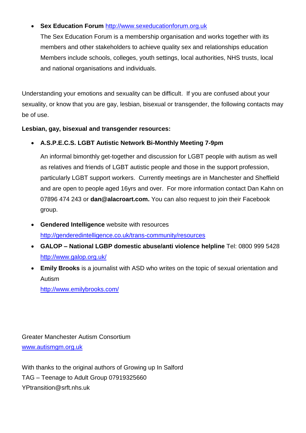### **Sex Education Forum** [http://www.sexeducationforum.org.uk](http://www.sexeducationforum.org.uk/)

The Sex Education Forum is a membership organisation and works together with its members and other stakeholders to achieve quality sex and relationships education Members include schools, colleges, youth settings, local authorities, NHS trusts, local and national organisations and individuals.

Understanding your emotions and sexuality can be difficult. If you are confused about your sexuality, or know that you are gay, lesbian, bisexual or transgender, the following contacts may be of use.

#### **Lesbian, gay, bisexual and transgender resources:**

**A.S.P.E.C.S. LGBT Autistic Network Bi-Monthly Meeting 7-9pm**

An informal bimonthly get-together and discussion for LGBT people with autism as well as relatives and friends of LGBT autistic people and those in the support profession, particularly LGBT support workers. Currently meetings are in Manchester and Sheffield and are open to people aged 16yrs and over. For more information contact Dan Kahn on 07896 474 243 or **[dan@alacroart.com.](mailto:dan@alacroart.com)** You can also request to join their Facebook group.

- **Gendered Intelligence** website with resources <http://genderedintelligence.co.uk/trans-community/resources>
- **GALOP – National LGBP domestic abuse/anti violence helpline** Tel: 0800 999 5428 <http://www.galop.org.uk/>
- **Emily Brooks** is a journalist with ASD who writes on the topic of sexual orientation and Autism

<http://www.emilybrooks.com/>

Greater Manchester Autism Consortium [www.autismgm.org.uk](http://www.autismgm.org.uk/)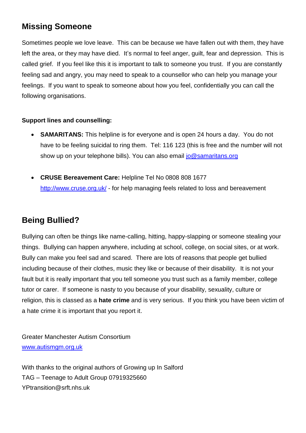# **Missing Someone**

Sometimes people we love leave. This can be because we have fallen out with them, they have left the area, or they may have died. It's normal to feel anger, guilt, fear and depression. This is called grief. If you feel like this it is important to talk to someone you trust. If you are constantly feeling sad and angry, you may need to speak to a counsellor who can help you manage your feelings. If you want to speak to someone about how you feel, confidentially you can call the following organisations.

### **Support lines and counselling:**

- **SAMARITANS:** This helpline is for everyone and is open 24 hours a day. You do not have to be feeling suicidal to ring them. Tel: 116 123 (this is free and the number will not show up on your telephone bills). You can also email [jo@samaritans.org](mailto:jo@samaritans.org)
- **CRUSE Bereavement Care:** Helpline Tel No 0808 808 1677 <http://www.cruse.org.uk/> - for help managing feels related to loss and bereavement

## **Being Bullied?**

Bullying can often be things like name-calling, hitting, happy-slapping or someone stealing your things. Bullying can happen anywhere, including at school, college, on social sites, or at work. Bully can make you feel sad and scared. There are lots of reasons that people get bullied including because of their clothes, music they like or because of their disability. It is not your fault but it is really important that you tell someone you trust such as a family member, college tutor or carer. If someone is nasty to you because of your disability, sexuality, culture or religion, this is classed as a **hate crime** and is very serious. If you think you have been victim of a hate crime it is important that you report it.

Greater Manchester Autism Consortium [www.autismgm.org.uk](http://www.autismgm.org.uk/)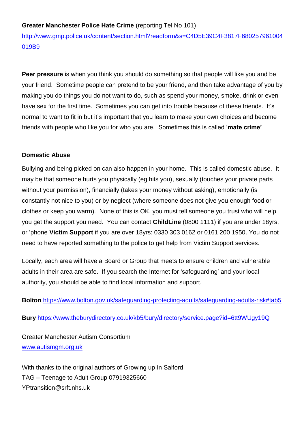#### **Greater Manchester Police Hate Crime** (reporting Tel No 101)

[http://www.gmp.police.uk/content/section.html?readform&s=C4D5E39C4F3817F680257961004](http://www.gmp.police.uk/content/section.html?readform&s=C4D5E39C4F3817F680257961004019B9) [019B9](http://www.gmp.police.uk/content/section.html?readform&s=C4D5E39C4F3817F680257961004019B9)

**Peer pressure** is when you think you should do something so that people will like you and be your friend. Sometime people can pretend to be your friend, and then take advantage of you by making you do things you do not want to do, such as spend your money, smoke, drink or even have sex for the first time. Sometimes you can get into trouble because of these friends. It's normal to want to fit in but it's important that you learn to make your own choices and become friends with people who like you for who you are. Sometimes this is called '**mate crime'**

#### **Domestic Abuse**

Bullying and being picked on can also happen in your home. This is called domestic abuse. It may be that someone hurts you physically (eg hits you), sexually (touches your private parts without your permission), financially (takes your money without asking), emotionally (is constantly not nice to you) or by neglect (where someone does not give you enough food or clothes or keep you warm). None of this is OK, you must tell someone you trust who will help you get the support you need. You can contact **ChildLine** (0800 1111) if you are under 18yrs, or 'phone **Victim Support** if you are over 18yrs: [0330](http://tel:08%2008%2016%2089%20111) 303 0162 or 0161 200 1950. You do not need to have reported something to the police to get help from Victim Support services.

Locally, each area will have a Board or Group that meets to ensure children and vulnerable adults in their area are safe. If you search the Internet for 'safeguarding' and your local authority, you should be able to find local information and support.

**Bolton** <https://www.bolton.gov.uk/safeguarding-protecting-adults/safeguarding-adults-risk#tab5>

**Bury** <https://www.theburydirectory.co.uk/kb5/bury/directory/service.page?id=6tt9WUgy19Q>

Greater Manchester Autism Consortium [www.autismgm.org.uk](http://www.autismgm.org.uk/)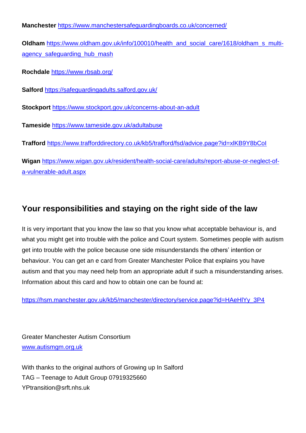**Manchester** <https://www.manchestersafeguardingboards.co.uk/concerned/> **Oldham** [https://www.oldham.gov.uk/info/100010/health\\_and\\_social\\_care/1618/oldham\\_s\\_multi](https://www.oldham.gov.uk/info/100010/health_and_social_care/1618/oldham_s_multi-agency_safeguarding_hub_mash)agency safeguarding hub mash **Rochdale** <https://www.rbsab.org/> **Salford** <https://safeguardingadults.salford.gov.uk/> **Stockport** <https://www.stockport.gov.uk/concerns-about-an-adult> **Tameside** <https://www.tameside.gov.uk/adultabuse> **Trafford** <https://www.trafforddirectory.co.uk/kb5/trafford/fsd/advice.page?id=xlKB9Y8bCoI> **Wigan** [https://www.wigan.gov.uk/resident/health-social-care/adults/report-abuse-or-neglect-of](https://www.wigan.gov.uk/resident/health-social-care/adults/report-abuse-or-neglect-of-a-vulnerable-adult.aspx)[a-vulnerable-adult.aspx](https://www.wigan.gov.uk/resident/health-social-care/adults/report-abuse-or-neglect-of-a-vulnerable-adult.aspx)

# **Your responsibilities and staying on the right side of the law**

It is very important that you know the law so that you know what acceptable behaviour is, and what you might get into trouble with the police and Court system. Sometimes people with autism get into trouble with the police because one side misunderstands the others' intention or behaviour. You can get an e card from Greater Manchester Police that explains you have autism and that you may need help from an appropriate adult if such a misunderstanding arises. Information about this card and how to obtain one can be found at:

[https://hsm.manchester.gov.uk/kb5/manchester/directory/service.page?id=HAeHlYy\\_3P4](https://hsm.manchester.gov.uk/kb5/manchester/directory/service.page?id=HAeHlYy_3P4)

Greater Manchester Autism Consortium [www.autismgm.org.uk](http://www.autismgm.org.uk/)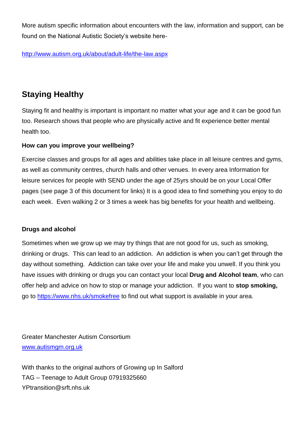More autism specific information about encounters with the law, information and support, can be found on the National Autistic Society's website here-

<http://www.autism.org.uk/about/adult-life/the-law.aspx>

## **Staying Healthy**

Staying fit and healthy is important is important no matter what your age and it can be good fun too. Research shows that people who are physically active and fit experience better mental health too.

### **How can you improve your wellbeing?**

Exercise classes and groups for all ages and abilities take place in all leisure centres and gyms, as well as community centres, church halls and other venues. In every area Information for leisure services for people with SEND under the age of 25yrs should be on your Local Offer pages (see page 3 of this document for links) It is a good idea to find something you enjoy to do each week. Even walking 2 or 3 times a week has big benefits for your health and wellbeing.

### **Drugs and alcohol**

Sometimes when we grow up we may try things that are not good for us, such as smoking, drinking or drugs. This can lead to an addiction. An addiction is when you can't get through the day without something. Addiction can take over your life and make you unwell. If you think you have issues with drinking or drugs you can contact your local **Drug and Alcohol team**, who can offer help and advice on how to stop or manage your addiction. If you want to **stop smoking,** go to<https://www.nhs.uk/smokefree> to find out what support is available in your area.

Greater Manchester Autism Consortium [www.autismgm.org.uk](http://www.autismgm.org.uk/)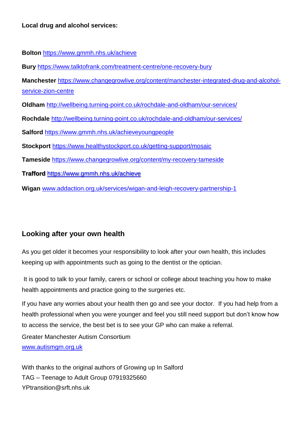**Bolton** <https://www.gmmh.nhs.uk/achieve>

**Bury** <https://www.talktofrank.com/treatment-centre/one-recovery-bury>

**Manchester** [https://www.changegrowlive.org/content/manchester-integrated-drug-and-alcohol](https://www.changegrowlive.org/content/manchester-integrated-drug-and-alcohol-service-zion-centre)[service-zion-centre](https://www.changegrowlive.org/content/manchester-integrated-drug-and-alcohol-service-zion-centre)

**Oldham** <http://wellbeing.turning-point.co.uk/rochdale-and-oldham/our-services/>

**Rochdale** <http://wellbeing.turning-point.co.uk/rochdale-and-oldham/our-services/>

**Salford** <https://www.gmmh.nhs.uk/achieveyoungpeople>

**Stockport** <https://www.healthystockport.co.uk/getting-support/mosaic>

**Tameside** <https://www.changegrowlive.org/content/my-recovery-tameside>

**Trafford** <https://www.gmmh.nhs.uk/achieve>

**Wigan** [www.addaction.org.uk/services/wigan-and-leigh-recovery-partnership-1](http://www.addaction.org.uk/services/wigan-and-leigh-recovery-partnership-1)

### **Looking after your own health**

As you get older it becomes your responsibility to look after your own health, this includes keeping up with appointments such as going to the dentist or the optician.

It is good to talk to your family, carers or school or college about teaching you how to make health appointments and practice going to the surgeries etc.

If you have any worries about your health then go and see your doctor. If you had help from a health professional when you were younger and feel you still need support but don't know how to access the service, the best bet is to see your GP who can make a referral.

Greater Manchester Autism Consortium [www.autismgm.org.uk](http://www.autismgm.org.uk/)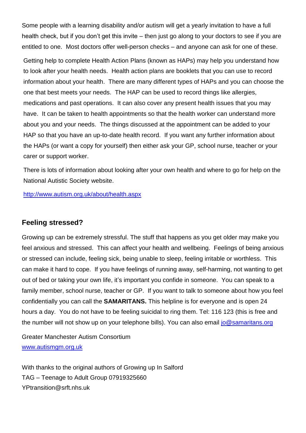Some people with a learning disability and/or autism will get a yearly invitation to have a full health check, but if you don't get this invite – then just go along to your doctors to see if you are entitled to one. Most doctors offer well-person checks – and anyone can ask for one of these.

Getting help to complete Health Action Plans (known as HAPs) may help you understand how to look after your health needs. Health action plans are booklets that you can use to record information about your health. There are many different types of HAPs and you can choose the one that best meets your needs. The HAP can be used to record things like allergies, medications and past operations. It can also cover any present health issues that you may have. It can be taken to health appointments so that the health worker can understand more about you and your needs. The things discussed at the appointment can be added to your HAP so that you have an up-to-date health record. If you want any further information about the HAPs (or want a copy for yourself) then either ask your GP, school nurse, teacher or your carer or support worker.

There is lots of information about looking after your own health and where to go for help on the National Autistic Society website.

<http://www.autism.org.uk/about/health.aspx>

### **Feeling stressed?**

Growing up can be extremely stressful. The stuff that happens as you get older may make you feel anxious and stressed. This can affect your health and wellbeing. Feelings of being anxious or stressed can include, feeling sick, being unable to sleep, feeling irritable or worthless. This can make it hard to cope. If you have feelings of running away, self-harming, not wanting to get out of bed or taking your own life, it's important you confide in someone. You can speak to a family member, school nurse, teacher or GP. If you want to talk to someone about how you feel confidentially you can call the **SAMARITANS.** This helpline is for everyone and is open 24 hours a day. You do not have to be feeling suicidal to ring them. Tel: 116 123 (this is free and the number will not show up on your telephone bills). You can also email jo @samaritans.org

Greater Manchester Autism Consortium [www.autismgm.org.uk](http://www.autismgm.org.uk/)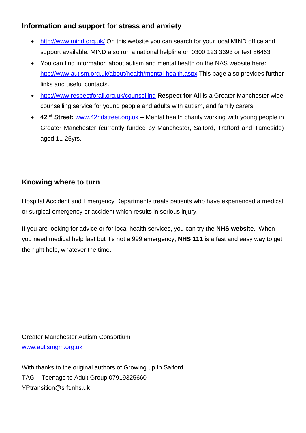## **Information and support for stress and anxiety**

- <http://www.mind.org.uk/> On this website you can search for your local MIND office and support available. MIND also run a national helpline on 0300 123 3393 or text 86463
- You can find information about autism and mental health on the NAS website here: <http://www.autism.org.uk/about/health/mental-health.aspx> This page also provides further links and useful contacts.
- <http://www.respectforall.org.uk/counselling> **Respect for All** is a Greater Manchester wide counselling service for young people and adults with autism, and family carers.
- **42nd Street:** [www.42ndstreet.org.uk](http://www.42ndstreet.org.uk/) Mental health charity working with young people in Greater Manchester (currently funded by Manchester, Salford, Trafford and Tameside) aged 11-25yrs.

## **Knowing where to turn**

Hospital Accident and Emergency Departments treats patients who have experienced a medical or surgical emergency or accident which results in serious injury.

If you are looking for advice or for local health services, you can try the **NHS website**. When you need medical help fast but it's not a 999 emergency, **NHS 111** is a fast and easy way to get the right help, whatever the time.

Greater Manchester Autism Consortium [www.autismgm.org.uk](http://www.autismgm.org.uk/)